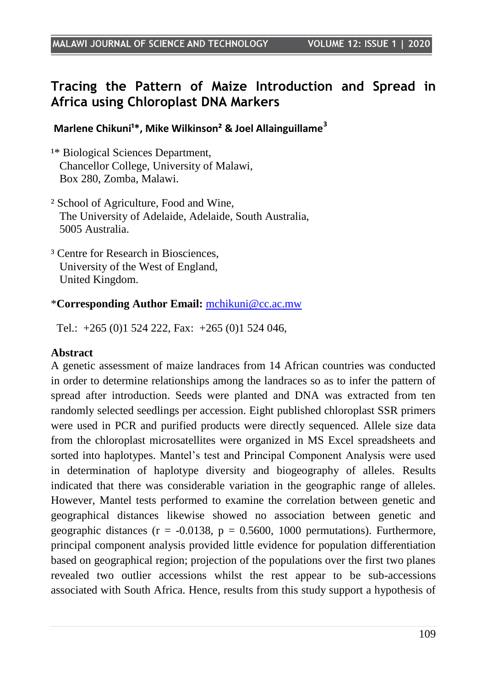# **Tracing the Pattern of Maize Introduction and Spread in Africa using Chloroplast DNA Markers**

#### Marlene Chikuni<sup>1\*</sup>, Mike Wilkinson<sup>2</sup> & Joel Allainguillame<sup>3</sup>

- <sup>1\*</sup> Biological Sciences Department. Chancellor College, University of Malawi, Box 280, Zomba, Malawi.
- ² School of Agriculture, Food and Wine, The University of Adelaide, Adelaide, South Australia, 5005 Australia.
- <sup>3</sup> Centre for Research in Biosciences, University of the West of England, United Kingdom.

#### \***Corresponding Author Email:** [mchikuni@cc.ac.mw](mailto:mchikuni@cc.ac.mw)

Tel.: +265 (0)1 524 222, Fax: +265 (0)1 524 046,

#### **Abstract**

A genetic assessment of maize landraces from 14 African countries was conducted in order to determine relationships among the landraces so as to infer the pattern of spread after introduction. Seeds were planted and DNA was extracted from ten randomly selected seedlings per accession. Eight published chloroplast SSR primers were used in PCR and purified products were directly sequenced. Allele size data from the chloroplast microsatellites were organized in MS Excel spreadsheets and sorted into haplotypes. Mantel"s test and Principal Component Analysis were used in determination of haplotype diversity and biogeography of alleles. Results indicated that there was considerable variation in the geographic range of alleles. However, Mantel tests performed to examine the correlation between genetic and geographical distances likewise showed no association between genetic and geographic distances ( $r = -0.0138$ ,  $p = 0.5600$ , 1000 permutations). Furthermore, principal component analysis provided little evidence for population differentiation based on geographical region; projection of the populations over the first two planes revealed two outlier accessions whilst the rest appear to be sub-accessions associated with South Africa. Hence, results from this study support a hypothesis of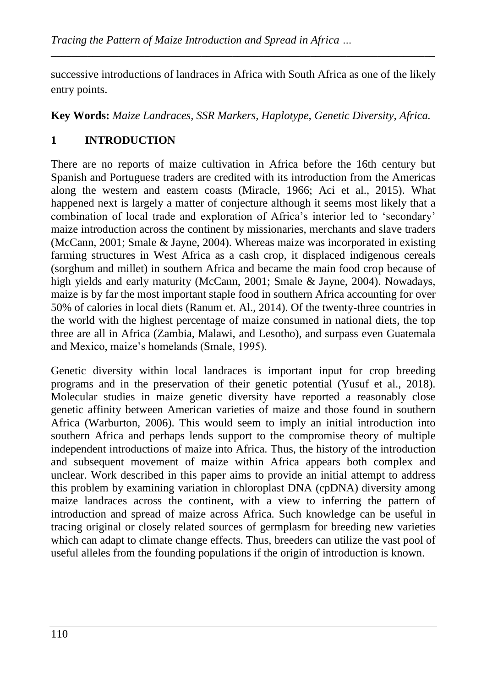successive introductions of landraces in Africa with South Africa as one of the likely entry points.

*\_\_\_\_\_\_\_\_\_\_\_\_\_\_\_\_\_\_\_\_\_\_\_\_\_\_\_\_\_\_\_\_\_\_\_\_\_\_\_\_\_\_\_\_\_\_\_\_\_\_\_\_\_\_\_\_\_\_\_\_\_\_\_\_\_\_\_\_\_\_\_\_\_\_*

**Key Words:** *Maize Landraces, SSR Markers, Haplotype, Genetic Diversity, Africa.* 

# **1 INTRODUCTION**

There are no reports of maize cultivation in Africa before the 16th century but Spanish and Portuguese traders are credited with its introduction from the Americas along the western and eastern coasts (Miracle, 1966; Aci et al., 2015). What happened next is largely a matter of conjecture although it seems most likely that a combination of local trade and exploration of Africa"s interior led to "secondary" maize introduction across the continent by missionaries, merchants and slave traders (McCann, 2001; Smale & Jayne, 2004). Whereas maize was incorporated in existing farming structures in West Africa as a cash crop, it displaced indigenous cereals (sorghum and millet) in southern Africa and became the main food crop because of high yields and early maturity (McCann, 2001; Smale & Jayne, 2004). Nowadays, maize is by far the most important staple food in southern Africa accounting for over 50% of calories in local diets (Ranum et. Al., 2014). Of the twenty-three countries in the world with the highest percentage of maize consumed in national diets, the top three are all in Africa (Zambia, Malawi, and Lesotho), and surpass even Guatemala and Mexico, maize's homelands (Smale, 1995).

Genetic diversity within local landraces is important input for crop breeding programs and in the preservation of their genetic potential (Yusuf et al., 2018). Molecular studies in maize genetic diversity have reported a reasonably close genetic affinity between American varieties of maize and those found in southern Africa (Warburton, 2006). This would seem to imply an initial introduction into southern Africa and perhaps lends support to the compromise theory of multiple independent introductions of maize into Africa. Thus, the history of the introduction and subsequent movement of maize within Africa appears both complex and unclear. Work described in this paper aims to provide an initial attempt to address this problem by examining variation in chloroplast DNA (cpDNA) diversity among maize landraces across the continent, with a view to inferring the pattern of introduction and spread of maize across Africa. Such knowledge can be useful in tracing original or closely related sources of germplasm for breeding new varieties which can adapt to climate change effects. Thus, breeders can utilize the vast pool of useful alleles from the founding populations if the origin of introduction is known.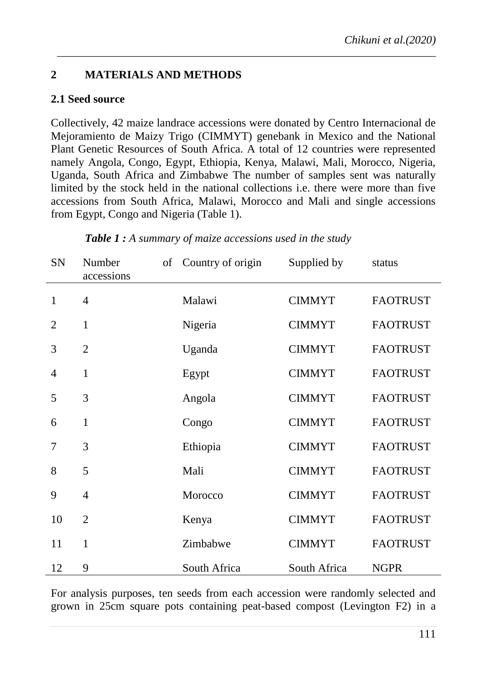### **2 MATERIALS AND METHODS**

### **2.1 Seed source**

Collectively, 42 maize landrace accessions were donated by Centro Internacional de Mejoramiento de Maizy Trigo (CIMMYT) genebank in Mexico and the National Plant Genetic Resources of South Africa. A total of 12 countries were represented namely Angola, Congo, Egypt, Ethiopia, Kenya, Malawi, Mali, Morocco, Nigeria, Uganda, South Africa and Zimbabwe The number of samples sent was naturally limited by the stock held in the national collections i.e. there were more than five accessions from South Africa, Malawi, Morocco and Mali and single accessions from Egypt, Congo and Nigeria (Table 1).

*\_\_\_\_\_\_\_\_\_\_\_\_\_\_\_\_\_\_\_\_\_\_\_\_\_\_\_\_\_\_\_\_\_\_\_\_\_\_\_\_\_\_\_\_\_\_\_\_\_\_\_\_\_\_\_\_\_\_\_\_\_\_\_\_\_\_\_\_\_\_\_\_\_*

| SN             | Number<br>accessions | of | Country of origin | Supplied by   | status          |  |
|----------------|----------------------|----|-------------------|---------------|-----------------|--|
| 1              | $\overline{4}$       |    | Malawi            | <b>CIMMYT</b> | <b>FAOTRUST</b> |  |
| $\overline{2}$ | $\mathbf{1}$         |    | Nigeria           | <b>CIMMYT</b> | <b>FAOTRUST</b> |  |
| 3              | $\overline{2}$       |    | Uganda            | <b>CIMMYT</b> | <b>FAOTRUST</b> |  |
| $\overline{4}$ | $\mathbf{1}$         |    | Egypt             | <b>CIMMYT</b> | <b>FAOTRUST</b> |  |
| 5              | 3                    |    | Angola            | <b>CIMMYT</b> | <b>FAOTRUST</b> |  |
| 6              | $\mathbf{1}$         |    | Congo             | <b>CIMMYT</b> | <b>FAOTRUST</b> |  |
| 7              | 3                    |    | Ethiopia          | <b>CIMMYT</b> | <b>FAOTRUST</b> |  |
| 8              | 5                    |    | Mali              | <b>CIMMYT</b> | <b>FAOTRUST</b> |  |
| 9              | $\overline{4}$       |    | Morocco           | <b>CIMMYT</b> | <b>FAOTRUST</b> |  |
| 10             | $\overline{2}$       |    | Kenya             | <b>CIMMYT</b> | <b>FAOTRUST</b> |  |
| 11             | $\mathbf{1}$         |    | Zimbabwe          | <b>CIMMYT</b> | <b>FAOTRUST</b> |  |
| 12             | 9                    |    | South Africa      | South Africa  | <b>NGPR</b>     |  |

*Table 1 : A summary of maize accessions used in the study* 

For analysis purposes, ten seeds from each accession were randomly selected and grown in 25cm square pots containing peat-based compost (Levington F2) in a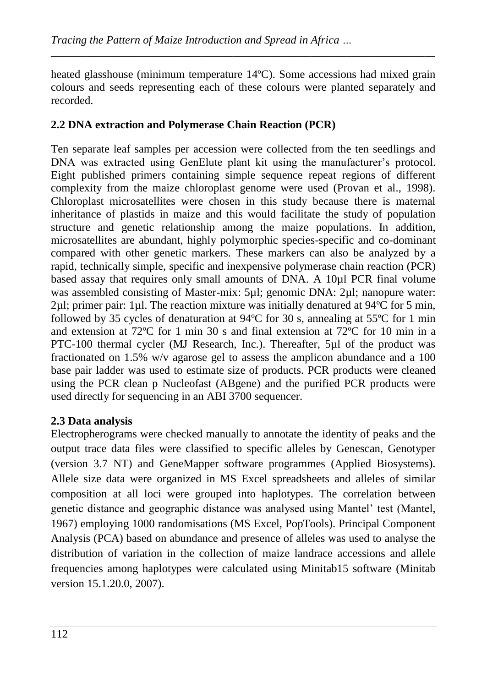heated glasshouse (minimum temperature 14ºC). Some accessions had mixed grain colours and seeds representing each of these colours were planted separately and recorded.

*\_\_\_\_\_\_\_\_\_\_\_\_\_\_\_\_\_\_\_\_\_\_\_\_\_\_\_\_\_\_\_\_\_\_\_\_\_\_\_\_\_\_\_\_\_\_\_\_\_\_\_\_\_\_\_\_\_\_\_\_\_\_\_\_\_\_\_\_\_\_\_\_\_\_*

### **2.2 DNA extraction and Polymerase Chain Reaction (PCR)**

Ten separate leaf samples per accession were collected from the ten seedlings and DNA was extracted using GenElute plant kit using the manufacturer's protocol. Eight published primers containing simple sequence repeat regions of different complexity from the maize chloroplast genome were used (Provan et al., 1998). Chloroplast microsatellites were chosen in this study because there is maternal inheritance of plastids in maize and this would facilitate the study of population structure and genetic relationship among the maize populations. In addition, microsatellites are abundant, highly polymorphic species-specific and co-dominant compared with other genetic markers. These markers can also be analyzed by a rapid, technically simple, specific and inexpensive polymerase chain reaction (PCR) based assay that requires only small amounts of DNA. A 10µl PCR final volume was assembled consisting of Master-mix: 5µl; genomic DNA: 2µl; nanopure water:  $2\mu$ l; primer pair: 1 $\mu$ l. The reaction mixture was initially denatured at 94 $\rm{°C}$  for 5 min, followed by 35 cycles of denaturation at 94ºC for 30 s, annealing at 55ºC for 1 min and extension at 72 °C for 1 min 30 s and final extension at 72 °C for 10 min in a PTC-100 thermal cycler (MJ Research, Inc.). Thereafter, 5µl of the product was fractionated on 1.5% w/v agarose gel to assess the amplicon abundance and a 100 base pair ladder was used to estimate size of products. PCR products were cleaned using the PCR clean p Nucleofast (ABgene) and the purified PCR products were used directly for sequencing in an ABI 3700 sequencer.

### **2.3 Data analysis**

Electropherograms were checked manually to annotate the identity of peaks and the output trace data files were classified to specific alleles by Genescan, Genotyper (version 3.7 NT) and GeneMapper software programmes (Applied Biosystems). Allele size data were organized in MS Excel spreadsheets and alleles of similar composition at all loci were grouped into haplotypes. The correlation between genetic distance and geographic distance was analysed using Mantel" test (Mantel, 1967) employing 1000 randomisations (MS Excel, PopTools). Principal Component Analysis (PCA) based on abundance and presence of alleles was used to analyse the distribution of variation in the collection of maize landrace accessions and allele frequencies among haplotypes were calculated using Minitab15 software (Minitab version 15.1.20.0, 2007).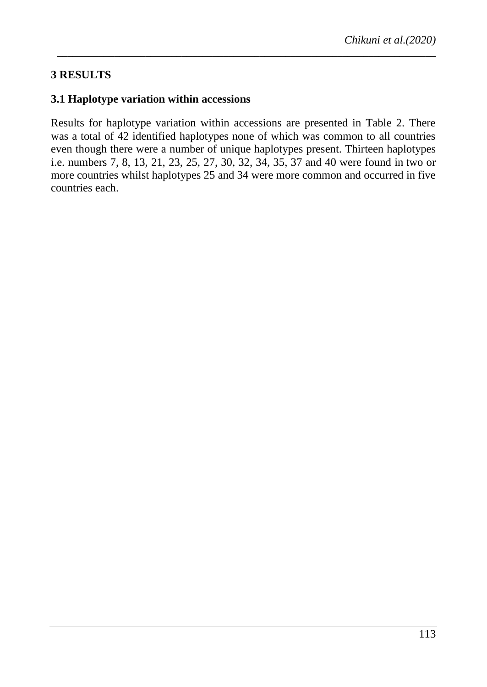# **3 RESULTS**

#### **3.1 Haplotype variation within accessions**

Results for haplotype variation within accessions are presented in Table 2. There was a total of 42 identified haplotypes none of which was common to all countries even though there were a number of unique haplotypes present. Thirteen haplotypes i.e. numbers 7, 8, 13, 21, 23, 25, 27, 30, 32, 34, 35, 37 and 40 were found in two or more countries whilst haplotypes 25 and 34 were more common and occurred in five countries each.

*\_\_\_\_\_\_\_\_\_\_\_\_\_\_\_\_\_\_\_\_\_\_\_\_\_\_\_\_\_\_\_\_\_\_\_\_\_\_\_\_\_\_\_\_\_\_\_\_\_\_\_\_\_\_\_\_\_\_\_\_\_\_\_\_\_\_\_\_\_\_\_\_\_*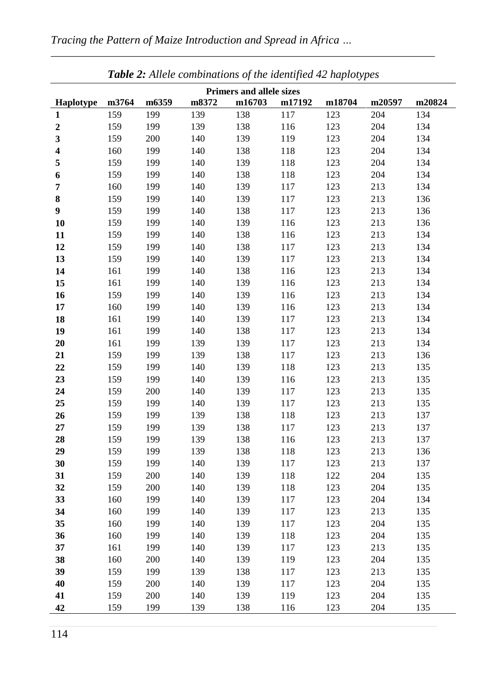|                                 |       |       |       | <b>Table 2:</b> Attele combinations of the identified 42 haptotypes |        |        |        |        |  |  |  |  |
|---------------------------------|-------|-------|-------|---------------------------------------------------------------------|--------|--------|--------|--------|--|--|--|--|
| <b>Primers and allele sizes</b> |       |       |       |                                                                     |        |        |        |        |  |  |  |  |
| Haplotype                       | m3764 | m6359 | m8372 | m16703                                                              | m17192 | m18704 | m20597 | m20824 |  |  |  |  |
| 1                               | 159   | 199   | 139   | 138                                                                 | 117    | 123    | 204    | 134    |  |  |  |  |
| $\boldsymbol{2}$                | 159   | 199   | 139   | 138                                                                 | 116    | 123    | 204    | 134    |  |  |  |  |
| 3                               | 159   | 200   | 140   | 139                                                                 | 119    | 123    | 204    | 134    |  |  |  |  |
| 4                               | 160   | 199   | 140   | 138                                                                 | 118    | 123    | 204    | 134    |  |  |  |  |
| 5                               | 159   | 199   | 140   | 139                                                                 | 118    | 123    | 204    | 134    |  |  |  |  |
| 6                               | 159   | 199   | 140   | 138                                                                 | 118    | 123    | 204    | 134    |  |  |  |  |
| 7                               | 160   | 199   | 140   | 139                                                                 | 117    | 123    | 213    | 134    |  |  |  |  |
| 8                               | 159   | 199   | 140   | 139                                                                 | 117    | 123    | 213    | 136    |  |  |  |  |
| 9                               | 159   | 199   | 140   | 138                                                                 | 117    | 123    | 213    | 136    |  |  |  |  |
| 10                              | 159   | 199   | 140   | 139                                                                 | 116    | 123    | 213    | 136    |  |  |  |  |
| 11                              | 159   | 199   | 140   | 138                                                                 | 116    | 123    | 213    | 134    |  |  |  |  |
| 12                              | 159   | 199   | 140   | 138                                                                 | 117    | 123    | 213    | 134    |  |  |  |  |
| 13                              | 159   | 199   | 140   | 139                                                                 | 117    | 123    | 213    | 134    |  |  |  |  |
| 14                              | 161   | 199   | 140   | 138                                                                 | 116    | 123    | 213    | 134    |  |  |  |  |
| 15                              | 161   | 199   | 140   | 139                                                                 | 116    | 123    | 213    | 134    |  |  |  |  |
| 16                              | 159   | 199   | 140   | 139                                                                 | 116    | 123    | 213    | 134    |  |  |  |  |
| 17                              | 160   | 199   | 140   | 139                                                                 | 116    | 123    | 213    | 134    |  |  |  |  |
| 18                              | 161   | 199   | 140   | 139                                                                 | 117    | 123    | 213    | 134    |  |  |  |  |
| 19                              | 161   | 199   | 140   | 138                                                                 | 117    | 123    | 213    | 134    |  |  |  |  |
| 20                              | 161   | 199   | 139   | 139                                                                 | 117    | 123    | 213    | 134    |  |  |  |  |
| 21                              | 159   | 199   | 139   | 138                                                                 | 117    | 123    | 213    | 136    |  |  |  |  |
| 22                              | 159   | 199   | 140   | 139                                                                 | 118    | 123    | 213    | 135    |  |  |  |  |
| 23                              | 159   | 199   | 140   | 139                                                                 | 116    | 123    | 213    | 135    |  |  |  |  |
| 24                              | 159   | 200   | 140   | 139                                                                 | 117    | 123    | 213    | 135    |  |  |  |  |
| 25                              | 159   | 199   | 140   | 139                                                                 | 117    | 123    | 213    | 135    |  |  |  |  |
| 26                              | 159   | 199   | 139   | 138                                                                 | 118    | 123    | 213    | 137    |  |  |  |  |
| 27                              | 159   | 199   | 139   | 138                                                                 | 117    | 123    | 213    | 137    |  |  |  |  |
| 28                              | 159   | 199   | 139   | 138                                                                 | 116    | 123    | 213    | 137    |  |  |  |  |
| 29                              | 159   | 199   | 139   | 138                                                                 | 118    | 123    | 213    | 136    |  |  |  |  |
| 30                              | 159   | 199   | 140   | 139                                                                 | 117    | 123    | 213    | 137    |  |  |  |  |
| 31                              | 159   | 200   | 140   | 139                                                                 | 118    | 122    | 204    | 135    |  |  |  |  |
| 32                              | 159   | 200   | 140   | 139                                                                 | 118    | 123    | 204    | 135    |  |  |  |  |
| 33                              | 160   | 199   | 140   | 139                                                                 | 117    | 123    | 204    | 134    |  |  |  |  |
| 34                              | 160   | 199   | 140   | 139                                                                 | 117    | 123    | 213    | 135    |  |  |  |  |
| 35                              | 160   | 199   | 140   | 139                                                                 | 117    | 123    | 204    | 135    |  |  |  |  |
| 36                              | 160   | 199   | 140   | 139                                                                 | 118    | 123    | 204    | 135    |  |  |  |  |
| 37                              | 161   | 199   | 140   | 139                                                                 | 117    | 123    | 213    | 135    |  |  |  |  |
| 38                              | 160   | 200   | 140   | 139                                                                 | 119    | 123    | 204    | 135    |  |  |  |  |
| 39                              | 159   | 199   | 139   | 138                                                                 | 117    | 123    | 213    | 135    |  |  |  |  |
| 40                              | 159   | 200   | 140   | 139                                                                 | 117    | 123    | 204    | 135    |  |  |  |  |
| 41                              | 159   | 200   | 140   | 139                                                                 | 119    | 123    | 204    | 135    |  |  |  |  |
| 42                              | 159   | 199   | 139   | 138                                                                 | 116    | 123    | 204    | 135    |  |  |  |  |

*\_\_\_\_\_\_\_\_\_\_\_\_\_\_\_\_\_\_\_\_\_\_\_\_\_\_\_\_\_\_\_\_\_\_\_\_\_\_\_\_\_\_\_\_\_\_\_\_\_\_\_\_\_\_\_\_\_\_\_\_\_\_\_\_\_\_\_\_\_\_\_\_\_\_*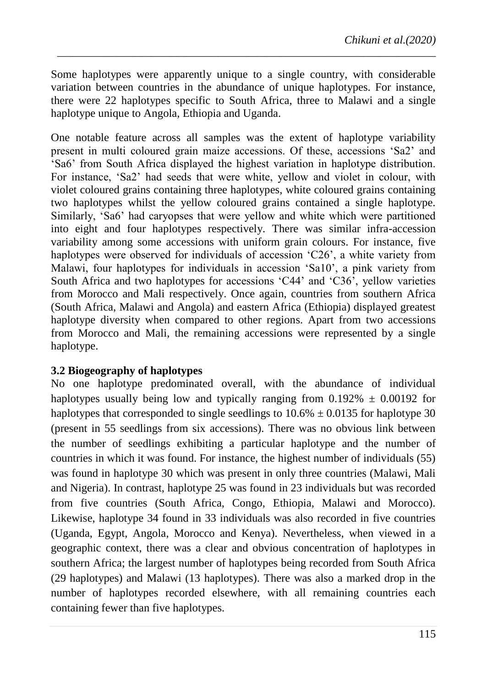Some haplotypes were apparently unique to a single country, with considerable variation between countries in the abundance of unique haplotypes. For instance, there were 22 haplotypes specific to South Africa, three to Malawi and a single haplotype unique to Angola, Ethiopia and Uganda.

*\_\_\_\_\_\_\_\_\_\_\_\_\_\_\_\_\_\_\_\_\_\_\_\_\_\_\_\_\_\_\_\_\_\_\_\_\_\_\_\_\_\_\_\_\_\_\_\_\_\_\_\_\_\_\_\_\_\_\_\_\_\_\_\_\_\_\_\_\_\_\_\_\_*

One notable feature across all samples was the extent of haplotype variability present in multi coloured grain maize accessions Of these, accessions "Sa2" and "Sa6" from South Africa displayed the highest variation in haplotype distribution For instance, "Sa2" had seeds that were white, yellow and violet in colour, with violet coloured grains containing three haplotypes, white coloured grains containing two haplotypes whilst the yellow coloured grains contained a single haplotype. Similarly, "Sa6" had caryopses that were yellow and white which were partitioned into eight and four haplotypes respectively. There was similar infra-accession variability among some accessions with uniform grain colours. For instance, five haplotypes were observed for individuals of accession "C26", a white variety from Malawi, four haplotypes for individuals in accession "Sa10", a pink variety from South Africa and two haplotypes for accessions 'C44' and 'C36', yellow varieties from Morocco and Mali respectively. Once again, countries from southern Africa (South Africa, Malawi and Angola) and eastern Africa (Ethiopia) displayed greatest haplotype diversity when compared to other regions. Apart from two accessions from Morocco and Mali, the remaining accessions were represented by a single haplotype.

### **3.2 Biogeography of haplotypes**

No one haplotype predominated overall, with the abundance of individual haplotypes usually being low and typically ranging from  $0.192\% \pm 0.00192$  for haplotypes that corresponded to single seedlings to  $10.6\% \pm 0.0135$  for haplotype 30 (present in 55 seedlings from six accessions). There was no obvious link between the number of seedlings exhibiting a particular haplotype and the number of countries in which it was found. For instance, the highest number of individuals (55) was found in haplotype 30 which was present in only three countries (Malawi, Mali and Nigeria). In contrast, haplotype 25 was found in 23 individuals but was recorded from five countries (South Africa, Congo, Ethiopia, Malawi and Morocco). Likewise, haplotype 34 found in 33 individuals was also recorded in five countries (Uganda, Egypt, Angola, Morocco and Kenya). Nevertheless, when viewed in a geographic context, there was a clear and obvious concentration of haplotypes in southern Africa; the largest number of haplotypes being recorded from South Africa (29 haplotypes) and Malawi (13 haplotypes). There was also a marked drop in the number of haplotypes recorded elsewhere, with all remaining countries each containing fewer than five haplotypes.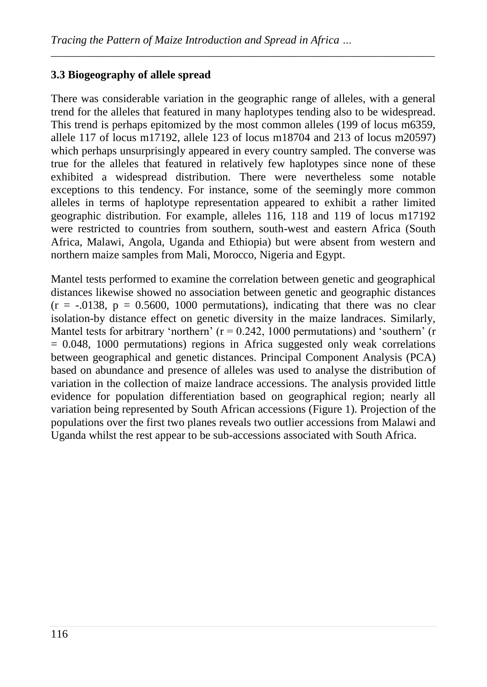# **3.3 Biogeography of allele spread**

There was considerable variation in the geographic range of alleles, with a general trend for the alleles that featured in many haplotypes tending also to be widespread. This trend is perhaps epitomized by the most common alleles (199 of locus m6359, allele 117 of locus m17192, allele 123 of locus m18704 and 213 of locus m20597) which perhaps unsurprisingly appeared in every country sampled. The converse was true for the alleles that featured in relatively few haplotypes since none of these exhibited a widespread distribution. There were nevertheless some notable exceptions to this tendency. For instance, some of the seemingly more common alleles in terms of haplotype representation appeared to exhibit a rather limited geographic distribution. For example, alleles 116, 118 and 119 of locus m17192 were restricted to countries from southern, south-west and eastern Africa (South Africa, Malawi, Angola, Uganda and Ethiopia) but were absent from western and northern maize samples from Mali, Morocco, Nigeria and Egypt.

*\_\_\_\_\_\_\_\_\_\_\_\_\_\_\_\_\_\_\_\_\_\_\_\_\_\_\_\_\_\_\_\_\_\_\_\_\_\_\_\_\_\_\_\_\_\_\_\_\_\_\_\_\_\_\_\_\_\_\_\_\_\_\_\_\_\_\_\_\_\_\_\_\_\_*

Mantel tests performed to examine the correlation between genetic and geographical distances likewise showed no association between genetic and geographic distances  $(r = -.0138, p = 0.5600, 1000$  permutations), indicating that there was no clear isolation-by distance effect on genetic diversity in the maize landraces. Similarly, Mantel tests for arbitrary 'northern'  $(r = 0.242, 1000$  permutations) and 'southern'  $(r = 0.242, 1000)$  $= 0.048$ , 1000 permutations) regions in Africa suggested only weak correlations between geographical and genetic distances. Principal Component Analysis (PCA) based on abundance and presence of alleles was used to analyse the distribution of variation in the collection of maize landrace accessions. The analysis provided little evidence for population differentiation based on geographical region; nearly all variation being represented by South African accessions (Figure 1). Projection of the populations over the first two planes reveals two outlier accessions from Malawi and Uganda whilst the rest appear to be sub-accessions associated with South Africa.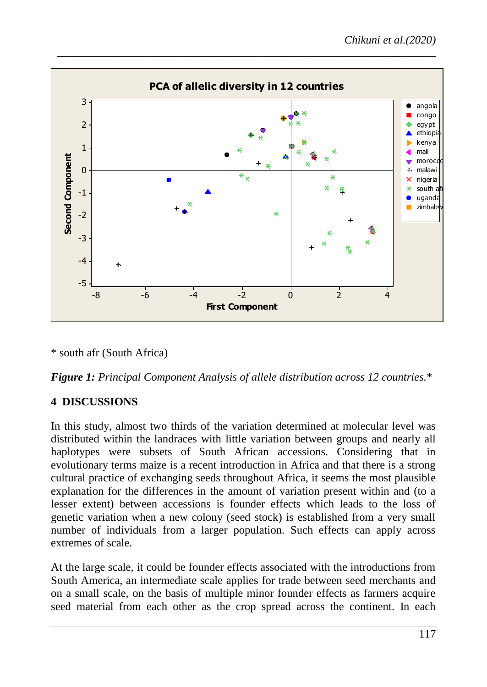

\* south afr (South Africa)

*Figure 1: Principal Component Analysis of allele distribution across 12 countries.*\*

# **4 DISCUSSIONS**

In this study, almost two thirds of the variation determined at molecular level was distributed within the landraces with little variation between groups and nearly all haplotypes were subsets of South African accessions. Considering that in evolutionary terms maize is a recent introduction in Africa and that there is a strong cultural practice of exchanging seeds throughout Africa, it seems the most plausible explanation for the differences in the amount of variation present within and (to a lesser extent) between accessions is founder effects which leads to the loss of genetic variation when a new colony (seed stock) is established from a very small number of individuals from a larger population. Such effects can apply across extremes of scale.

At the large scale, it could be founder effects associated with the introductions from South America, an intermediate scale applies for trade between seed merchants and on a small scale, on the basis of multiple minor founder effects as farmers acquire seed material from each other as the crop spread across the continent. In each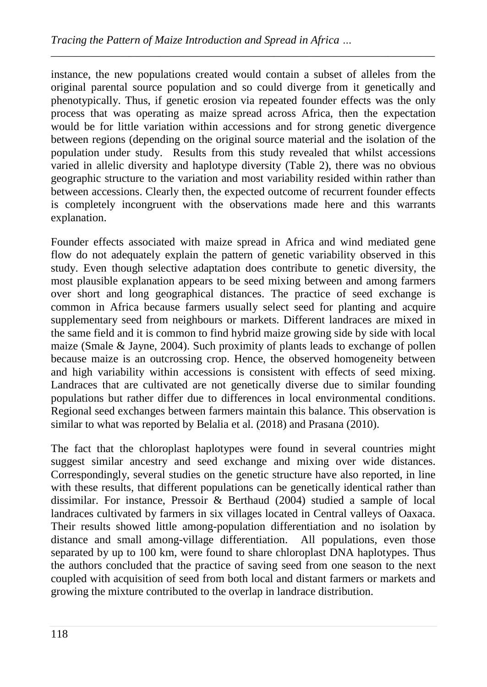instance, the new populations created would contain a subset of alleles from the original parental source population and so could diverge from it genetically and phenotypically. Thus, if genetic erosion via repeated founder effects was the only process that was operating as maize spread across Africa, then the expectation would be for little variation within accessions and for strong genetic divergence between regions (depending on the original source material and the isolation of the population under study. Results from this study revealed that whilst accessions varied in allelic diversity and haplotype diversity (Table 2), there was no obvious geographic structure to the variation and most variability resided within rather than between accessions. Clearly then, the expected outcome of recurrent founder effects is completely incongruent with the observations made here and this warrants explanation.

*\_\_\_\_\_\_\_\_\_\_\_\_\_\_\_\_\_\_\_\_\_\_\_\_\_\_\_\_\_\_\_\_\_\_\_\_\_\_\_\_\_\_\_\_\_\_\_\_\_\_\_\_\_\_\_\_\_\_\_\_\_\_\_\_\_\_\_\_\_\_\_\_\_\_*

Founder effects associated with maize spread in Africa and wind mediated gene flow do not adequately explain the pattern of genetic variability observed in this study. Even though selective adaptation does contribute to genetic diversity, the most plausible explanation appears to be seed mixing between and among farmers over short and long geographical distances. The practice of seed exchange is common in Africa because farmers usually select seed for planting and acquire supplementary seed from neighbours or markets. Different landraces are mixed in the same field and it is common to find hybrid maize growing side by side with local maize (Smale & Jayne, 2004). Such proximity of plants leads to exchange of pollen because maize is an outcrossing crop. Hence, the observed homogeneity between and high variability within accessions is consistent with effects of seed mixing. Landraces that are cultivated are not genetically diverse due to similar founding populations but rather differ due to differences in local environmental conditions. Regional seed exchanges between farmers maintain this balance. This observation is similar to what was reported by Belalia et al. (2018) and Prasana (2010).

The fact that the chloroplast haplotypes were found in several countries might suggest similar ancestry and seed exchange and mixing over wide distances. Correspondingly, several studies on the genetic structure have also reported, in line with these results, that different populations can be genetically identical rather than dissimilar. For instance, Pressoir & Berthaud (2004) studied a sample of local landraces cultivated by farmers in six villages located in Central valleys of Oaxaca. Their results showed little among-population differentiation and no isolation by distance and small among-village differentiation. All populations, even those separated by up to 100 km, were found to share chloroplast DNA haplotypes. Thus the authors concluded that the practice of saving seed from one season to the next coupled with acquisition of seed from both local and distant farmers or markets and growing the mixture contributed to the overlap in landrace distribution.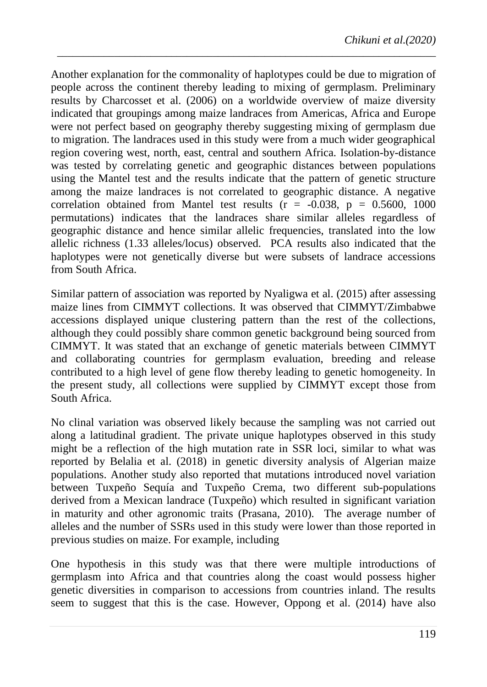Another explanation for the commonality of haplotypes could be due to migration of people across the continent thereby leading to mixing of germplasm. Preliminary results by Charcosset et al. (2006) on a worldwide overview of maize diversity indicated that groupings among maize landraces from Americas, Africa and Europe were not perfect based on geography thereby suggesting mixing of germplasm due to migration. The landraces used in this study were from a much wider geographical region covering west, north, east, central and southern Africa. Isolation-by-distance was tested by correlating genetic and geographic distances between populations using the Mantel test and the results indicate that the pattern of genetic structure among the maize landraces is not correlated to geographic distance. A negative correlation obtained from Mantel test results ( $r = -0.038$ ,  $p = 0.5600$ , 1000 permutations) indicates that the landraces share similar alleles regardless of geographic distance and hence similar allelic frequencies, translated into the low allelic richness (1.33 alleles/locus) observed. PCA results also indicated that the haplotypes were not genetically diverse but were subsets of landrace accessions from South Africa.

*\_\_\_\_\_\_\_\_\_\_\_\_\_\_\_\_\_\_\_\_\_\_\_\_\_\_\_\_\_\_\_\_\_\_\_\_\_\_\_\_\_\_\_\_\_\_\_\_\_\_\_\_\_\_\_\_\_\_\_\_\_\_\_\_\_\_\_\_\_\_\_\_\_*

Similar pattern of association was reported by Nyaligwa et al. (2015) after assessing maize lines from CIMMYT collections. It was observed that CIMMYT/Zimbabwe accessions displayed unique clustering pattern than the rest of the collections, although they could possibly share common genetic background being sourced from CIMMYT. It was stated that an exchange of genetic materials between CIMMYT and collaborating countries for germplasm evaluation, breeding and release contributed to a high level of gene flow thereby leading to genetic homogeneity. In the present study, all collections were supplied by CIMMYT except those from South Africa.

No clinal variation was observed likely because the sampling was not carried out along a latitudinal gradient. The private unique haplotypes observed in this study might be a reflection of the high mutation rate in SSR loci, similar to what was reported by Belalia et al. (2018) in genetic diversity analysis of Algerian maize populations. Another study also reported that mutations introduced novel variation between Tuxpeño Sequía and Tuxpeño Crema, two different sub-populations derived from a Mexican landrace (Tuxpeño) which resulted in significant variation in maturity and other agronomic traits (Prasana, 2010). The average number of alleles and the number of SSRs used in this study were lower than those reported in previous studies on maize. For example, including

One hypothesis in this study was that there were multiple introductions of germplasm into Africa and that countries along the coast would possess higher genetic diversities in comparison to accessions from countries inland. The results seem to suggest that this is the case. However, Oppong et al. (2014) have also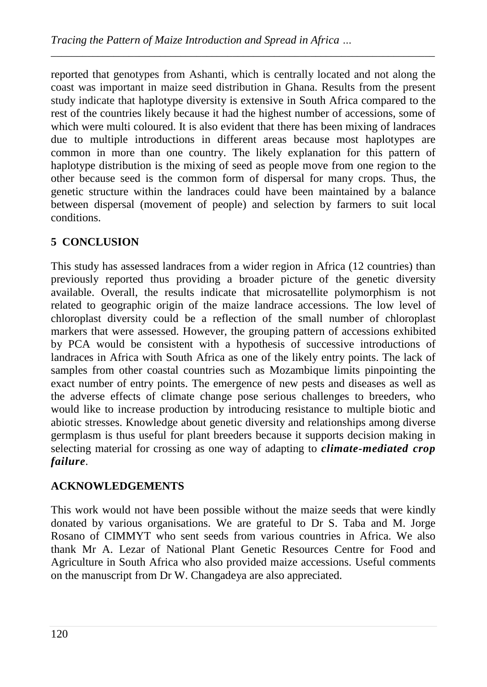reported that genotypes from Ashanti, which is centrally located and not along the coast was important in maize seed distribution in Ghana. Results from the present study indicate that haplotype diversity is extensive in South Africa compared to the rest of the countries likely because it had the highest number of accessions, some of which were multi coloured. It is also evident that there has been mixing of landraces due to multiple introductions in different areas because most haplotypes are common in more than one country. The likely explanation for this pattern of haplotype distribution is the mixing of seed as people move from one region to the other because seed is the common form of dispersal for many crops. Thus, the genetic structure within the landraces could have been maintained by a balance between dispersal (movement of people) and selection by farmers to suit local conditions.

*\_\_\_\_\_\_\_\_\_\_\_\_\_\_\_\_\_\_\_\_\_\_\_\_\_\_\_\_\_\_\_\_\_\_\_\_\_\_\_\_\_\_\_\_\_\_\_\_\_\_\_\_\_\_\_\_\_\_\_\_\_\_\_\_\_\_\_\_\_\_\_\_\_\_*

# **5 CONCLUSION**

This study has assessed landraces from a wider region in Africa (12 countries) than previously reported thus providing a broader picture of the genetic diversity available. Overall, the results indicate that microsatellite polymorphism is not related to geographic origin of the maize landrace accessions. The low level of chloroplast diversity could be a reflection of the small number of chloroplast markers that were assessed. However, the grouping pattern of accessions exhibited by PCA would be consistent with a hypothesis of successive introductions of landraces in Africa with South Africa as one of the likely entry points. The lack of samples from other coastal countries such as Mozambique limits pinpointing the exact number of entry points. The emergence of new pests and diseases as well as the adverse effects of climate change pose serious challenges to breeders, who would like to increase production by introducing resistance to multiple biotic and abiotic stresses. Knowledge about genetic diversity and relationships among diverse germplasm is thus useful for plant breeders because it supports decision making in selecting material for crossing as one way of adapting to *climate-mediated crop failure.*

### **ACKNOWLEDGEMENTS**

This work would not have been possible without the maize seeds that were kindly donated by various organisations. We are grateful to Dr S. Taba and M. Jorge Rosano of CIMMYT who sent seeds from various countries in Africa. We also thank Mr A. Lezar of National Plant Genetic Resources Centre for Food and Agriculture in South Africa who also provided maize accessions. Useful comments on the manuscript from Dr W. Changadeya are also appreciated.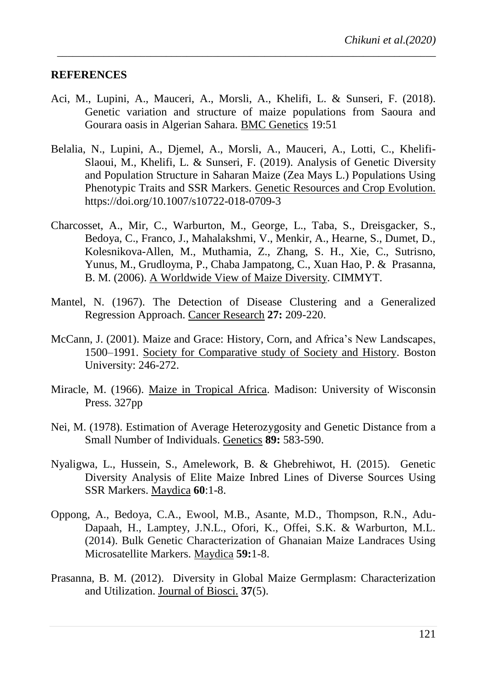#### **REFERENCES**

Aci, M., Lupini, A., Mauceri, A., Morsli, A., Khelifi, L. & Sunseri, F. (2018). Genetic variation and structure of maize populations from Saoura and Gourara oasis in Algerian Sahara. BMC Genetics 19:51

*\_\_\_\_\_\_\_\_\_\_\_\_\_\_\_\_\_\_\_\_\_\_\_\_\_\_\_\_\_\_\_\_\_\_\_\_\_\_\_\_\_\_\_\_\_\_\_\_\_\_\_\_\_\_\_\_\_\_\_\_\_\_\_\_\_\_\_\_\_\_\_\_\_*

- Belalia, N., Lupini, A., Djemel, A., Morsli, A., Mauceri, A., Lotti, C., Khelifi-Slaoui, M., Khelifi, L. & Sunseri, F. (2019). Analysis of Genetic Diversity and Population Structure in Saharan Maize (Zea Mays L.) Populations Using Phenotypic Traits and SSR Markers. Genetic Resources and Crop Evolution. https://doi.org/10.1007/s10722-018-0709-3
- Charcosset, A., Mir, C., Warburton, M., George, L., Taba, S., Dreisgacker, S., Bedoya, C., Franco, J., Mahalakshmi, V., Menkir, A., Hearne, S., Dumet, D., Kolesnikova-Allen, M., Muthamia, Z., Zhang, S. H., Xie, C., Sutrisno, Yunus, M., Grudloyma, P., Chaba Jampatong, C., Xuan Hao, P. & Prasanna, B. M. (2006). A Worldwide View of Maize Diversity. CIMMYT.
- Mantel, N. (1967). The Detection of Disease Clustering and a Generalized Regression Approach. Cancer Research **27:** 209-220.
- McCann, J. (2001). Maize and Grace: History, Corn, and Africa"s New Landscapes, 1500–1991. Society for Comparative study of Society and History. Boston University: 246-272.
- Miracle, M. (1966). Maize in Tropical Africa. Madison: University of Wisconsin Press. 327pp
- Nei, M. (1978). Estimation of Average Heterozygosity and Genetic Distance from a Small Number of Individuals. Genetics **89:** 583-590.
- Nyaligwa, L., Hussein, S., Amelework, B. & Ghebrehiwot, H. (2015). Genetic Diversity Analysis of Elite Maize Inbred Lines of Diverse Sources Using SSR Markers. Maydica **60**:1-8.
- Oppong, A., Bedoya, C.A., Ewool, M.B., Asante, M.D., Thompson, R.N., Adu-Dapaah, H., Lamptey, J.N.L., Ofori, K., Offei, S.K. & Warburton, M.L. (2014). Bulk Genetic Characterization of Ghanaian Maize Landraces Using Microsatellite Markers. Maydica **59:**1-8.
- Prasanna, B. M. (2012). Diversity in Global Maize Germplasm: Characterization and Utilization. Journal of Biosci. **37**(5).